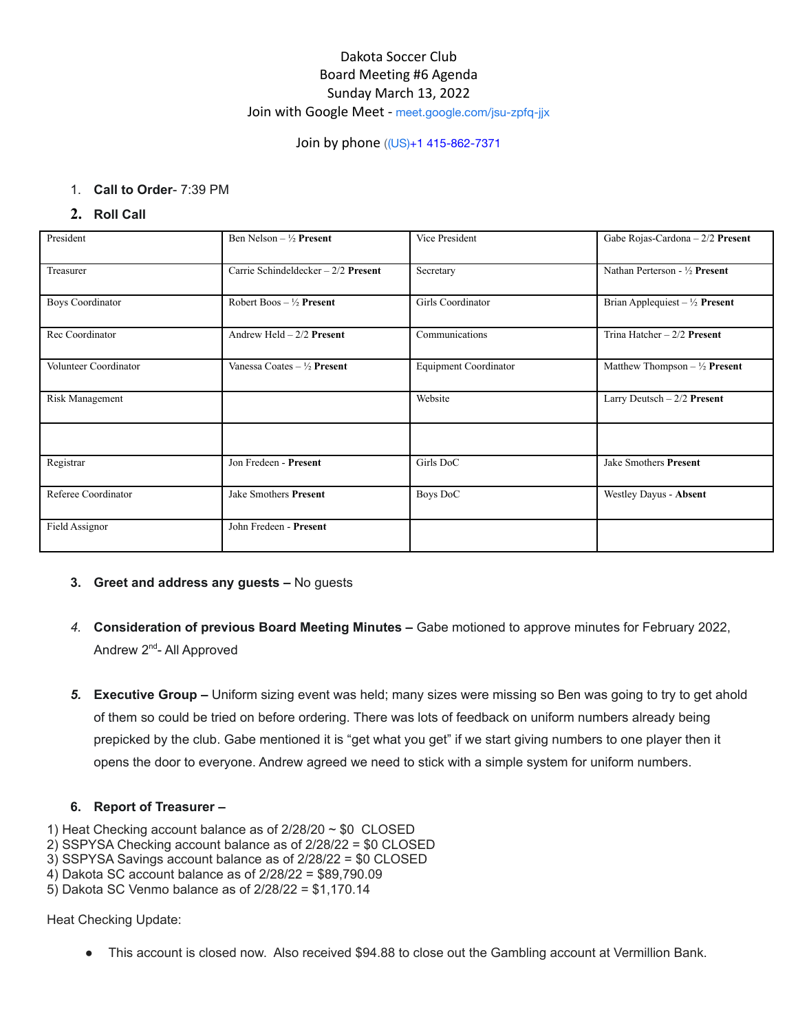# Dakota Soccer Club Board Meeting #6 Agenda Sunday March 13, 2022 Join with Google Meet - [meet.google.com/jsu-zpfq-jjx](https://meet.google.com/jsu-zpfq-jjx?hs=122&authuser=1)

# Join by phone ((US)[+1 415-862-7371](tel:%E2%80%AA+1%20415-862-7371%E2%80%AC)

# 1. **Call to Order**- 7:39 PM

**2. Roll Call**

| President               | Ben Nelson – $\frac{1}{2}$ Present     | Vice President               | Gabe Rojas-Cardona $-2/2$ Present         |
|-------------------------|----------------------------------------|------------------------------|-------------------------------------------|
| Treasurer               | Carrie Schindeldecker - 2/2 Present    | Secretary                    | Nathan Perterson - 1/2 Present            |
| <b>Boys Coordinator</b> | Robert Boos $-\frac{1}{2}$ Present     | Girls Coordinator            | Brian Applequiest – $\frac{1}{2}$ Present |
| Rec Coordinator         | Andrew Held $-2/2$ Present             | Communications               | Trina Hatcher $-2/2$ Present              |
| Volunteer Coordinator   | Vanessa Coates – $\frac{1}{2}$ Present | <b>Equipment Coordinator</b> | Matthew Thompson $-\frac{1}{2}$ Present   |
| Risk Management         |                                        | Website                      | Larry Deutsch $-2/2$ Present              |
|                         |                                        |                              |                                           |
| Registrar               | Jon Fredeen - Present                  | Girls DoC                    | Jake Smothers Present                     |
| Referee Coordinator     | Jake Smothers Present                  | <b>Boys DoC</b>              | Westley Dayus - Absent                    |
| Field Assignor          | John Fredeen - Present                 |                              |                                           |

- **3. Greet and address any guests –** No guests
- *4.* **Consideration of previous Board Meeting Minutes –** Gabe motioned to approve minutes for February 2022, Andrew 2<sup>nd</sup>- All Approved
- *5.* **Executive Group –** Uniform sizing event was held; many sizes were missing so Ben was going to try to get ahold of them so could be tried on before ordering. There was lots of feedback on uniform numbers already being prepicked by the club. Gabe mentioned it is "get what you get" if we start giving numbers to one player then it opens the door to everyone. Andrew agreed we need to stick with a simple system for uniform numbers.

# **6. Report of Treasurer –**

- 1) Heat Checking account balance as of  $2/28/20 \sim $0$  CLOSED
- 2) SSPYSA Checking account balance as of 2/28/22 = \$0 CLOSED
- 3) SSPYSA Savings account balance as of 2/28/22 = \$0 CLOSED
- 4) Dakota SC account balance as of 2/28/22 = \$89,790.09
- 5) Dakota SC Venmo balance as of 2/28/22 = \$1,170.14

Heat Checking Update:

This account is closed now. Also received \$94.88 to close out the Gambling account at Vermillion Bank.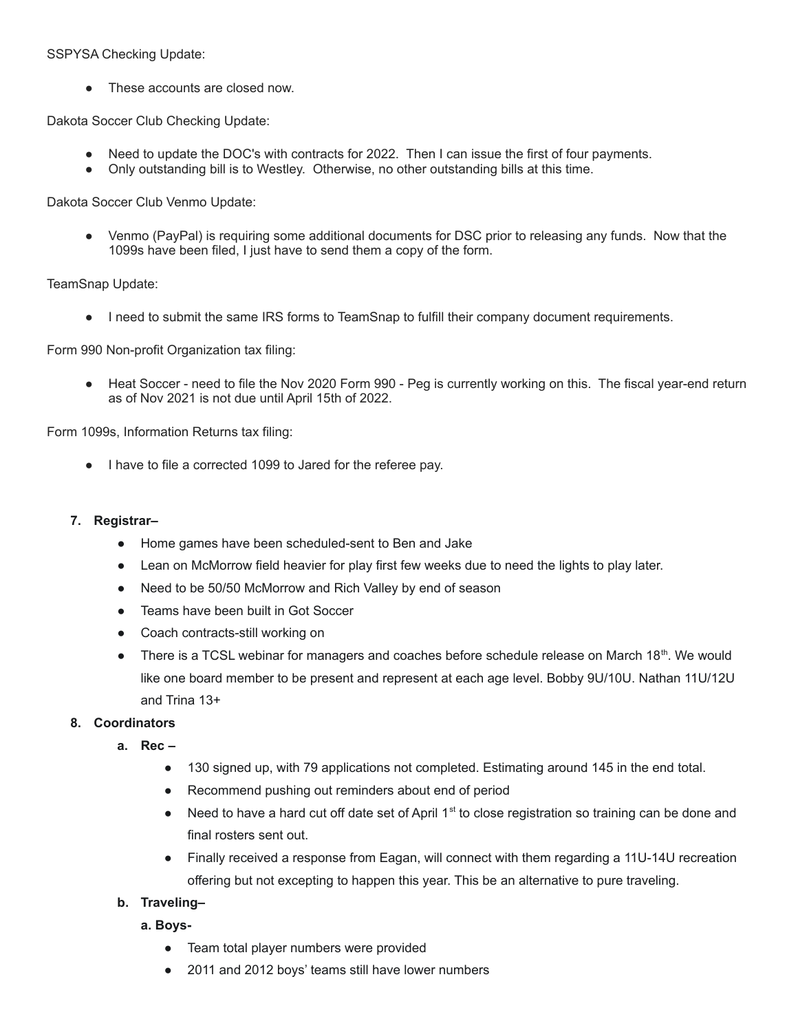## SSPYSA Checking Update:

• These accounts are closed now.

Dakota Soccer Club Checking Update:

- Need to update the DOC's with contracts for 2022. Then I can issue the first of four payments.
- Only outstanding bill is to Westley. Otherwise, no other outstanding bills at this time.

Dakota Soccer Club Venmo Update:

• Venmo (PayPal) is requiring some additional documents for DSC prior to releasing any funds. Now that the 1099s have been filed, I just have to send them a copy of the form.

TeamSnap Update:

● I need to submit the same IRS forms to TeamSnap to fulfill their company document requirements.

Form 990 Non-profit Organization tax filing:

● Heat Soccer - need to file the Nov 2020 Form 990 - Peg is currently working on this. The fiscal year-end return as of Nov 2021 is not due until April 15th of 2022.

Form 1099s, Information Returns tax filing:

● I have to file a corrected 1099 to Jared for the referee pay.

### **7. Registrar–**

- Home games have been scheduled-sent to Ben and Jake
- Lean on McMorrow field heavier for play first few weeks due to need the lights to play later.
- Need to be 50/50 McMorrow and Rich Valley by end of season
- Teams have been built in Got Soccer
- Coach contracts-still working on
- There is a TCSL webinar for managers and coaches before schedule release on March 18<sup>th</sup>. We would like one board member to be present and represent at each age level. Bobby 9U/10U. Nathan 11U/12U and Trina 13+

# **8. Coordinators**

- **a. Rec –**
	- 130 signed up, with 79 applications not completed. Estimating around 145 in the end total.
	- Recommend pushing out reminders about end of period
	- Need to have a hard cut off date set of April  $1<sup>st</sup>$  to close registration so training can be done and final rosters sent out.
	- Finally received a response from Eagan, will connect with them regarding a 11U-14U recreation offering but not excepting to happen this year. This be an alternative to pure traveling.

# **b. Traveling–**

#### **a. Boys-**

- Team total player numbers were provided
- 2011 and 2012 boys' teams still have lower numbers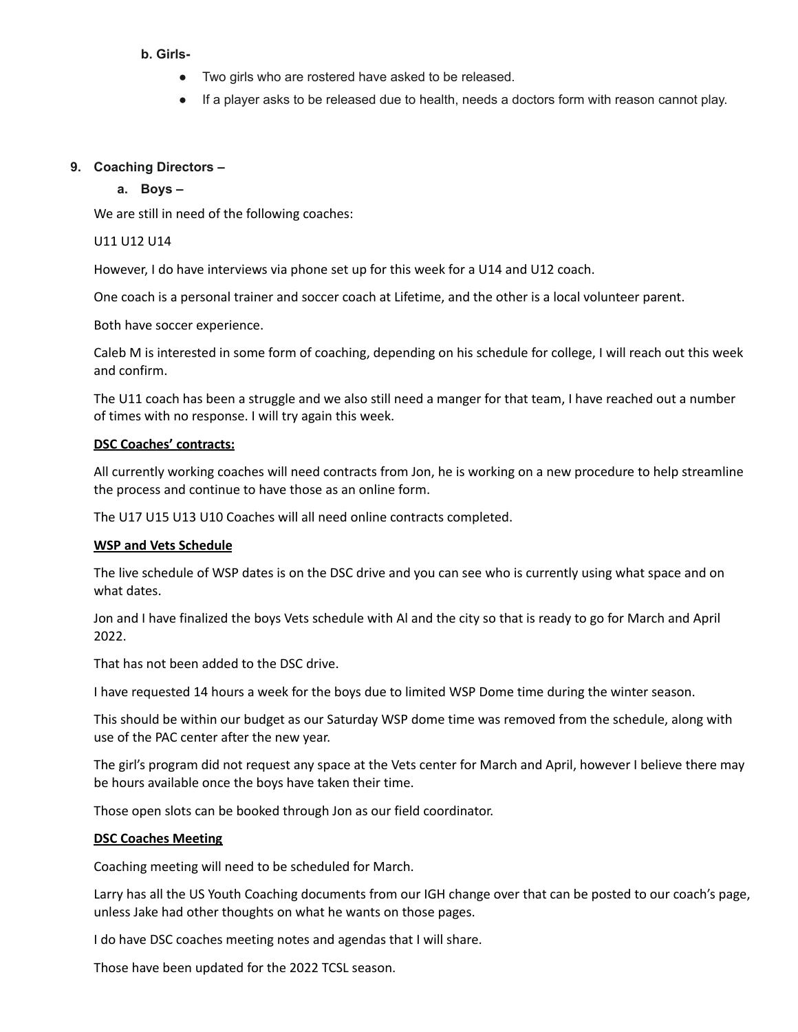### **b. Girls-**

- Two girls who are rostered have asked to be released.
- If a player asks to be released due to health, needs a doctors form with reason cannot play.

### **9. Coaching Directors –**

### **a. Boys –**

We are still in need of the following coaches:

### U11 U12 U14

However, I do have interviews via phone set up for this week for a U14 and U12 coach.

One coach is a personal trainer and soccer coach at Lifetime, and the other is a local volunteer parent.

Both have soccer experience.

Caleb M is interested in some form of coaching, depending on his schedule for college, I will reach out this week and confirm.

The U11 coach has been a struggle and we also still need a manger for that team, I have reached out a number of times with no response. I will try again this week.

### **DSC Coaches' contracts:**

All currently working coaches will need contracts from Jon, he is working on a new procedure to help streamline the process and continue to have those as an online form.

The U17 U15 U13 U10 Coaches will all need online contracts completed.

#### **WSP and Vets Schedule**

The live schedule of WSP dates is on the DSC drive and you can see who is currently using what space and on what dates.

Jon and I have finalized the boys Vets schedule with Al and the city so that is ready to go for March and April 2022.

That has not been added to the DSC drive.

I have requested 14 hours a week for the boys due to limited WSP Dome time during the winter season.

This should be within our budget as our Saturday WSP dome time was removed from the schedule, along with use of the PAC center after the new year.

The girl's program did not request any space at the Vets center for March and April, however I believe there may be hours available once the boys have taken their time.

Those open slots can be booked through Jon as our field coordinator.

#### **DSC Coaches Meeting**

Coaching meeting will need to be scheduled for March.

Larry has all the US Youth Coaching documents from our IGH change over that can be posted to our coach's page, unless Jake had other thoughts on what he wants on those pages.

I do have DSC coaches meeting notes and agendas that I will share.

Those have been updated for the 2022 TCSL season.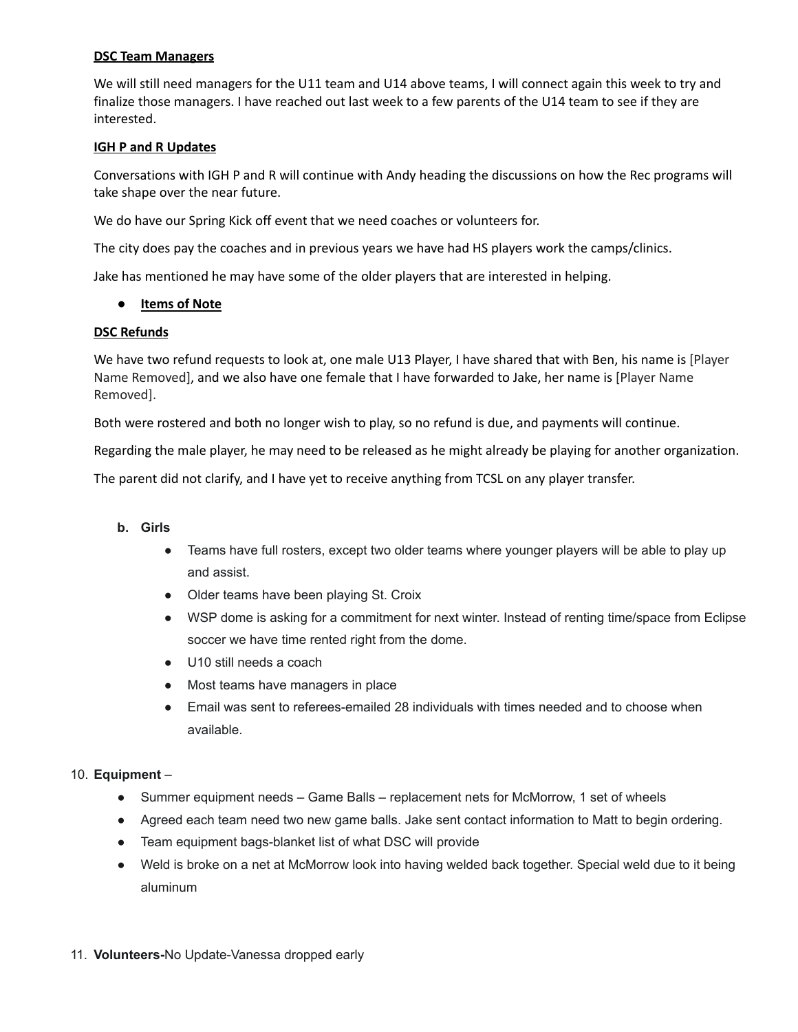# **DSC Team Managers**

We will still need managers for the U11 team and U14 above teams, I will connect again this week to try and finalize those managers. I have reached out last week to a few parents of the U14 team to see if they are interested.

## **IGH P and R Updates**

Conversations with IGH P and R will continue with Andy heading the discussions on how the Rec programs will take shape over the near future.

We do have our Spring Kick off event that we need coaches or volunteers for.

The city does pay the coaches and in previous years we have had HS players work the camps/clinics.

Jake has mentioned he may have some of the older players that are interested in helping.

### ● **Items of Note**

### **DSC Refunds**

We have two refund requests to look at, one male U13 Player, I have shared that with Ben, his name is [Player Name Removed], and we also have one female that I have forwarded to Jake, her name is [Player Name Removed].

Both were rostered and both no longer wish to play, so no refund is due, and payments will continue.

Regarding the male player, he may need to be released as he might already be playing for another organization.

The parent did not clarify, and I have yet to receive anything from TCSL on any player transfer.

# **b. Girls**

- Teams have full rosters, except two older teams where younger players will be able to play up and assist.
- Older teams have been playing St. Croix
- WSP dome is asking for a commitment for next winter. Instead of renting time/space from Eclipse soccer we have time rented right from the dome.
- U10 still needs a coach
- Most teams have managers in place
- Email was sent to referees-emailed 28 individuals with times needed and to choose when available.

# 10. **Equipment** –

- Summer equipment needs Game Balls replacement nets for McMorrow, 1 set of wheels
- Agreed each team need two new game balls. Jake sent contact information to Matt to begin ordering.
- Team equipment bags-blanket list of what DSC will provide
- Weld is broke on a net at McMorrow look into having welded back together. Special weld due to it being aluminum

#### 11. **Volunteers-**No Update-Vanessa dropped early